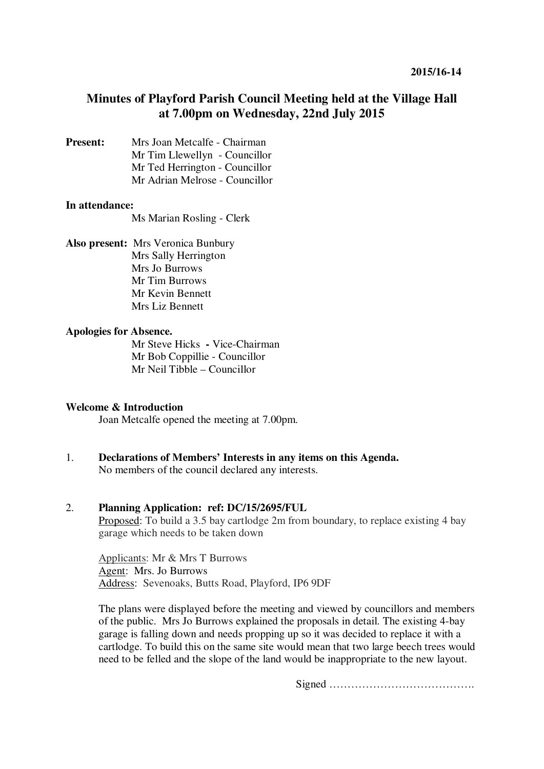# **Minutes of Playford Parish Council Meeting held at the Village Hall at 7.00pm on Wednesday, 22nd July 2015**

**Present:** Mrs Joan Metcalfe - Chairman Mr Tim Llewellyn- Councillor Mr Ted Herrington - Councillor Mr Adrian Melrose - Councillor

#### **In attendance:**

Ms Marian Rosling - Clerk

**Also present:** Mrs Veronica Bunbury Mrs Sally Herrington Mrs Jo Burrows Mr Tim Burrows Mr Kevin Bennett Mrs Liz Bennett

#### **Apologies for Absence.**

Mr Steve Hicks **-** Vice-Chairman Mr Bob Coppillie - Councillor Mr Neil Tibble – Councillor

#### **Welcome & Introduction**

Joan Metcalfe opened the meeting at 7.00pm.

1. **Declarations of Members' Interests in any items on this Agenda.**  No members of the council declared any interests.

## 2. **Planning Application: ref: DC/15/2695/FUL**

Proposed: To build a 3.5 bay cartlodge 2m from boundary, to replace existing 4 bay garage which needs to be taken down

Applicants: Mr & Mrs T Burrows Agent: Mrs. Jo Burrows Address: Sevenoaks, Butts Road, Playford, IP6 9DF

The plans were displayed before the meeting and viewed by councillors and members of the public. Mrs Jo Burrows explained the proposals in detail. The existing 4-bay garage is falling down and needs propping up so it was decided to replace it with a cartlodge. To build this on the same site would mean that two large beech trees would need to be felled and the slope of the land would be inappropriate to the new layout.

Signed ………………………………….